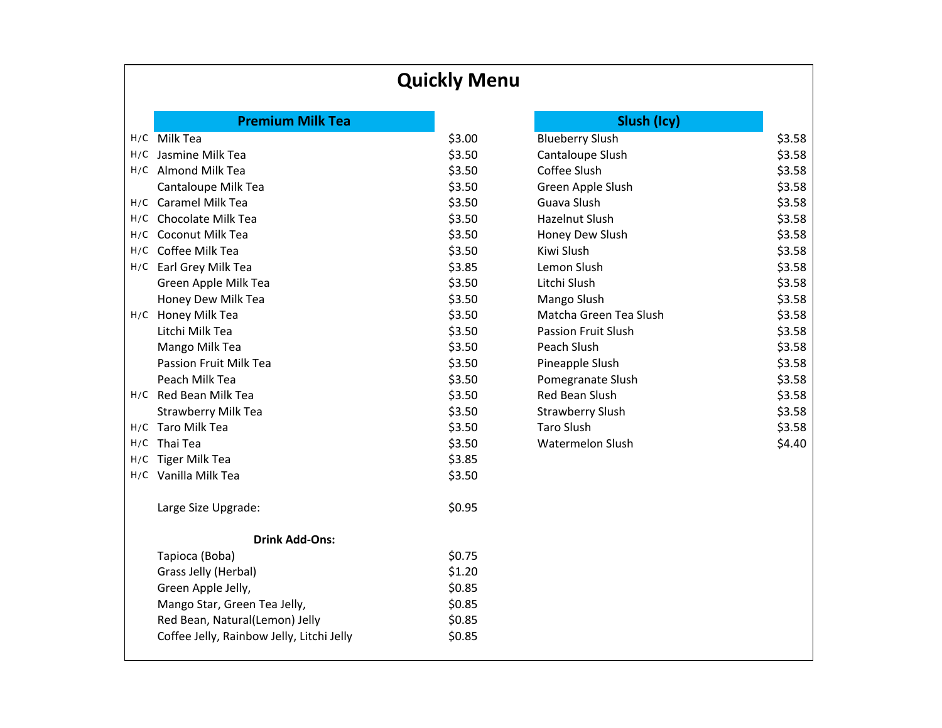## **Quickly Menu**

|     | <b>Premium Milk Tea</b>                   |        | Slush (Icy)             |        |
|-----|-------------------------------------------|--------|-------------------------|--------|
|     | H/C Milk Tea                              | \$3.00 | <b>Blueberry Slush</b>  | \$3.58 |
|     | H/C Jasmine Milk Tea                      | \$3.50 | Cantaloupe Slush        | \$3.58 |
|     | H/C Almond Milk Tea                       | \$3.50 | Coffee Slush            | \$3.58 |
|     | Cantaloupe Milk Tea                       | \$3.50 | Green Apple Slush       | \$3.58 |
|     | H/C Caramel Milk Tea                      | \$3.50 | Guava Slush             | \$3.58 |
| H/C | Chocolate Milk Tea                        | \$3.50 | <b>Hazelnut Slush</b>   | \$3.58 |
| H/C | <b>Coconut Milk Tea</b>                   | \$3.50 | Honey Dew Slush         | \$3.58 |
| H/C | Coffee Milk Tea                           | \$3.50 | Kiwi Slush              | \$3.58 |
| H/C | Earl Grey Milk Tea                        | \$3.85 | Lemon Slush             | \$3.58 |
|     | Green Apple Milk Tea                      | \$3.50 | Litchi Slush            | \$3.58 |
|     | Honey Dew Milk Tea                        | \$3.50 | Mango Slush             | \$3.58 |
|     | H/C Honey Milk Tea                        | \$3.50 | Matcha Green Tea Slush  | \$3.58 |
|     | Litchi Milk Tea                           | \$3.50 | Passion Fruit Slush     | \$3.58 |
|     | Mango Milk Tea                            | \$3.50 | Peach Slush             | \$3.58 |
|     | Passion Fruit Milk Tea                    | \$3.50 | Pineapple Slush         | \$3.58 |
|     | Peach Milk Tea                            | \$3.50 | Pomegranate Slush       | \$3.58 |
|     | H/C Red Bean Milk Tea                     | \$3.50 | Red Bean Slush          | \$3.58 |
|     | <b>Strawberry Milk Tea</b>                | \$3.50 | <b>Strawberry Slush</b> | \$3.58 |
|     | H/C Taro Milk Tea                         | \$3.50 | <b>Taro Slush</b>       | \$3.58 |
| H/C | Thai Tea                                  | \$3.50 | <b>Watermelon Slush</b> | \$4.40 |
| H/C | Tiger Milk Tea                            | \$3.85 |                         |        |
|     | H/C Vanilla Milk Tea                      | \$3.50 |                         |        |
|     | Large Size Upgrade:                       | \$0.95 |                         |        |
|     | <b>Drink Add-Ons:</b>                     |        |                         |        |
|     | Tapioca (Boba)                            | \$0.75 |                         |        |
|     | Grass Jelly (Herbal)                      | \$1.20 |                         |        |
|     | Green Apple Jelly,                        | \$0.85 |                         |        |
|     | Mango Star, Green Tea Jelly,              | \$0.85 |                         |        |
|     | Red Bean, Natural(Lemon) Jelly            | \$0.85 |                         |        |
|     | Coffee Jelly, Rainbow Jelly, Litchi Jelly | \$0.85 |                         |        |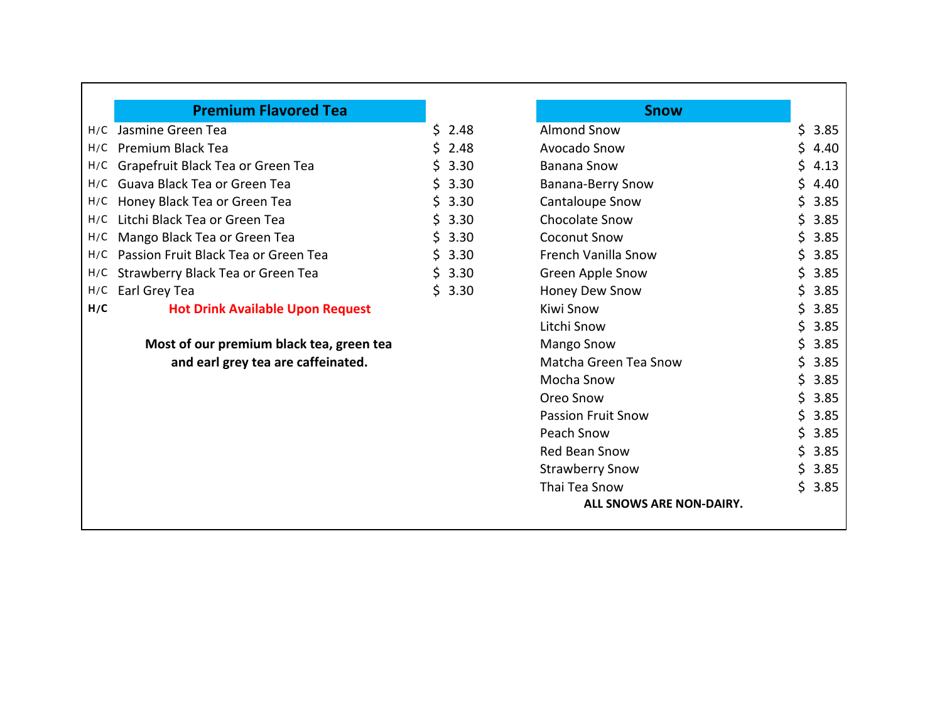|     | <b>Premium Flavored Tea</b>              |     |        | <b>Snow</b>                |     |        |
|-----|------------------------------------------|-----|--------|----------------------------|-----|--------|
| H/C | Jasmine Green Tea                        | \$. | 2.48   | <b>Almond Snow</b>         | \$. | 3.85   |
| H/C | <b>Premium Black Tea</b>                 |     | 2.48   | Avocado Snow               | \$. | 4.40   |
| H/C | Grapefruit Black Tea or Green Tea        |     | 3.30   | <b>Banana Snow</b>         | \$. | 4.13   |
| H/C | Guava Black Tea or Green Tea             |     | 3.30   | Banana-Berry Snow          | Ś.  | 4.40   |
| H/C | Honey Black Tea or Green Tea             |     | 3.30   | Cantaloupe Snow            | S.  | 3.85   |
| H/C | Litchi Black Tea or Green Tea            |     | 3.30   | <b>Chocolate Snow</b>      | Ś.  | 3.85   |
| H/C | Mango Black Tea or Green Tea             |     | 3.30   | <b>Coconut Snow</b>        | S.  | 3.85   |
| H/C | Passion Fruit Black Tea or Green Tea     |     | 3.30   | <b>French Vanilla Snow</b> | S.  | 3.85   |
| H/C | Strawberry Black Tea or Green Tea        | S.  | 3.30   | Green Apple Snow           | S.  | 3.85   |
| H/C | Earl Grey Tea                            |     | \$3.30 | Honey Dew Snow             | \$. | 3.85   |
| H/C | <b>Hot Drink Available Upon Request</b>  |     |        | Kiwi Snow                  | \$. | 3.85   |
|     |                                          |     |        | Litchi Snow                | \$. | 3.85   |
|     | Most of our premium black tea, green tea |     |        | <b>Mango Snow</b>          | S.  | 3.85   |
|     | and earl grey tea are caffeinated.       |     |        | Matcha Green Tea Snow      | \$  | 3.85   |
|     |                                          |     |        | Mocha Snow                 | \$. | 3.85   |
|     |                                          |     |        | Oreo Snow                  | Ś.  | 3.85   |
|     |                                          |     |        | <b>Passion Fruit Snow</b>  | S.  | 3.85   |
|     |                                          |     |        | Peach Snow                 | Ś.  | 3.85   |
|     |                                          |     |        | <b>Red Bean Snow</b>       | \$. | 3.85   |
|     |                                          |     |        | <b>Strawberry Snow</b>     | Ś.  | 3.85   |
|     |                                          |     |        | Thai Tea Snow              |     | \$3.85 |
|     |                                          |     |        | ALL SNOWS ARE NON-DAIRY.   |     |        |
|     |                                          |     |        |                            |     |        |

Г

٦Ī,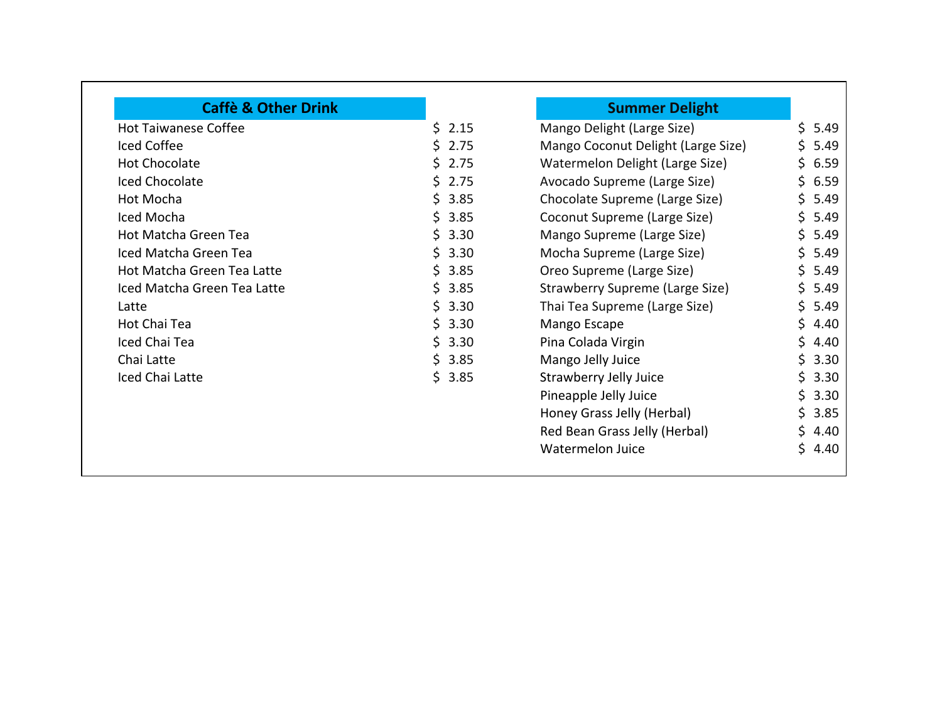| <b>Caffè &amp; Other Drink</b> |            | <b>Summer Delight</b>              |            |
|--------------------------------|------------|------------------------------------|------------|
| <b>Hot Taiwanese Coffee</b>    | \$2.15     | Mango Delight (Large Size)         | \$<br>5.49 |
| Iced Coffee                    | \$2.75     | Mango Coconut Delight (Large Size) | Ś.<br>5.49 |
| <b>Hot Chocolate</b>           | \$2.75     | Watermelon Delight (Large Size)    | 6.59<br>Ś. |
| Iced Chocolate                 | \$2.75     | Avocado Supreme (Large Size)       | \$6.59     |
| Hot Mocha                      | \$3.85     | Chocolate Supreme (Large Size)     | Ś.<br>5.49 |
| Iced Mocha                     | \$3.85     | Coconut Supreme (Large Size)       | 5.49<br>Ś. |
| Hot Matcha Green Tea           | \$3.30     | Mango Supreme (Large Size)         | Ś.<br>5.49 |
| Iced Matcha Green Tea          | \$3.30     | Mocha Supreme (Large Size)         | \$5.49     |
| Hot Matcha Green Tea Latte     | Ś.<br>3.85 | Oreo Supreme (Large Size)          | 5.49       |
| Iced Matcha Green Tea Latte    | \$3.85     | Strawberry Supreme (Large Size)    | 5.49<br>S. |
| Latte                          | \$3.30     | Thai Tea Supreme (Large Size)      | 5.49<br>S. |
| Hot Chai Tea                   | \$3.30     | Mango Escape                       | 4.40<br>S. |
| Iced Chai Tea                  | \$3.30     | Pina Colada Virgin                 | 4.40       |
| Chai Latte                     | \$3.85     | Mango Jelly Juice                  | 3.30       |
| Iced Chai Latte                | \$3.85     | Strawberry Jelly Juice             | 3.30<br>S. |
|                                |            | Pineapple Jelly Juice              | 3.30<br>S. |
|                                |            | Honey Grass Jelly (Herbal)         | 3.85       |
|                                |            | Red Bean Grass Jelly (Herbal)      | 4.40       |
|                                |            | <b>Watermelon Juice</b>            | S.<br>4.40 |